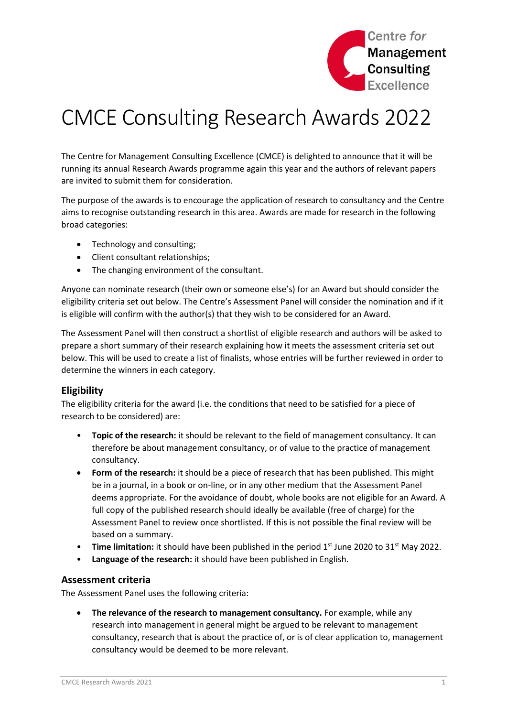

# CMCE Consulting Research Awards 2022

The Centre for Management Consulting Excellence (CMCE) is delighted to announce that it will be running its annual Research Awards programme again this year and the authors of relevant papers are invited to submit them for consideration.

The purpose of the awards is to encourage the application of research to consultancy and the Centre aims to recognise outstanding research in this area. Awards are made for research in the following broad categories:

- Technology and consulting;
- Client consultant relationships;
- The changing environment of the consultant.

Anyone can nominate research (their own or someone else's) for an Award but should consider the eligibility criteria set out below. The Centre's Assessment Panel will consider the nomination and if it is eligible will confirm with the author(s) that they wish to be considered for an Award.

The Assessment Panel will then construct a shortlist of eligible research and authors will be asked to prepare a short summary of their research explaining how it meets the assessment criteria set out below. This will be used to create a list of finalists, whose entries will be further reviewed in order to determine the winners in each category.

## **Eligibility**

The eligibility criteria for the award (i.e. the conditions that need to be satisfied for a piece of research to be considered) are:

- **Topic of the research:** it should be relevant to the field of management consultancy. It can therefore be about management consultancy, or of value to the practice of management consultancy.
- **Form of the research:** it should be a piece of research that has been published. This might be in a journal, in a book or on-line, or in any other medium that the Assessment Panel deems appropriate. For the avoidance of doubt, whole books are not eligible for an Award. A full copy of the published research should ideally be available (free of charge) for the Assessment Panel to review once shortlisted. If this is not possible the final review will be based on a summary.
- **Time limitation:** it should have been published in the period 1<sup>st</sup> June 2020 to 31<sup>st</sup> May 2022.
- **Language of the research:** it should have been published in English.

## **Assessment criteria**

The Assessment Panel uses the following criteria:

 **The relevance of the research to management consultancy.** For example, while any research into management in general might be argued to be relevant to management consultancy, research that is about the practice of, or is of clear application to, management consultancy would be deemed to be more relevant.